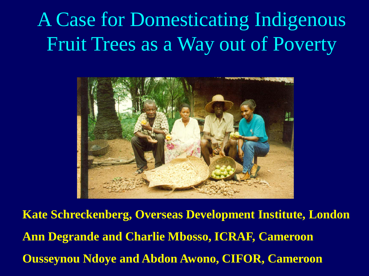#### A Case for Domesticating Indigenous Fruit Trees as a Way out of Poverty



**Kate Schreckenberg, Overseas Development Institute, London Ann Degrande and Charlie Mbosso, ICRAF, Cameroon Ousseynou Ndoye and Abdon Awono, CIFOR, Cameroon**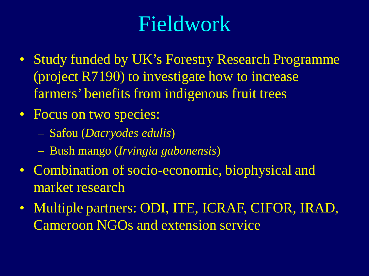### Fieldwork

- Study funded by UK's Forestry Research Programme (project R7190) to investigate how to increase farmers' benefits from indigenous fruit trees
- Focus on two species:
	- Safou (*Dacryodes edulis*)
	- Bush mango (*Irvingia gabonensis*)
- Combination of socio-economic, biophysical and market research
- Multiple partners: ODI, ITE, ICRAF, CIFOR, IRAD, Cameroon NGOs and extension service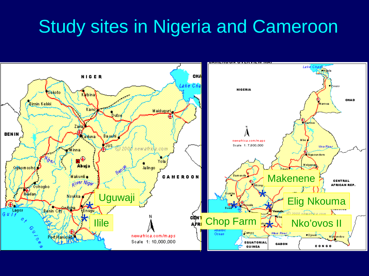#### Study sites in Nigeria and Cameroon

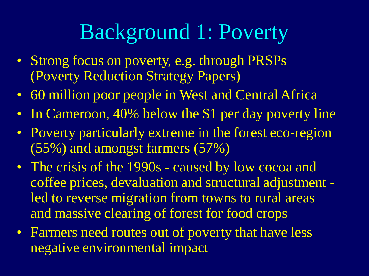#### Background 1: Poverty

- Strong focus on poverty, e.g. through PRSPs (Poverty Reduction Strategy Papers)
- 60 million poor people in West and Central Africa
- In Cameroon, 40% below the \$1 per day poverty line
- Poverty particularly extreme in the forest eco-region (55%) and amongst farmers (57%)
- The crisis of the 1990s caused by low cocoa and coffee prices, devaluation and structural adjustment led to reverse migration from towns to rural areas and massive clearing of forest for food crops
- Farmers need routes out of poverty that have less negative environmental impact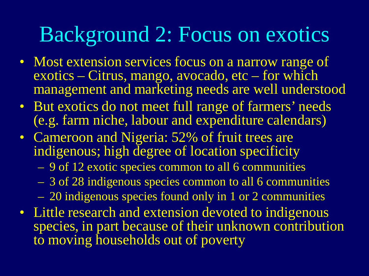#### Background 2: Focus on exotics

- Most extension services focus on a narrow range of exotics – Citrus, mango, avocado, etc – for which management and marketing needs are well understood
- But exotics do not meet full range of farmers' needs (e.g. farm niche, labour and expenditure calendars)
- Cameroon and Nigeria: 52% of fruit trees are indigenous; high degree of location specificity
	- 9 of 12 exotic species common to all 6 communities
	- 3 of 28 indigenous species common to all 6 communities
	- 20 indigenous species found only in 1 or 2 communities
- Little research and extension devoted to indigenous species, in part because of their unknown contribution to moving households out of poverty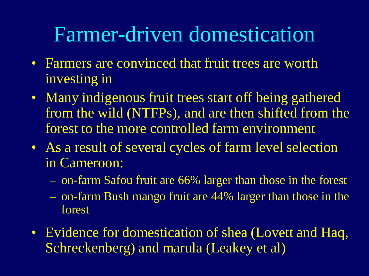#### Farmer-driven domestication

- Farmers are convinced that fruit trees are worth investing in
- Many indigenous fruit trees start off being gathered from the wild (NTFPs), and are then shifted from the forest to the more controlled farm environment
- As a result of several cycles of farm level selection in Cameroon:
	- on-farm Safou fruit are 66% larger than those in the forest
	- on-farm Bush mango fruit are 44% larger than those in the forest
- Evidence for domestication of shea (Lovett and Haq, Schreckenberg) and marula (Leakey et al)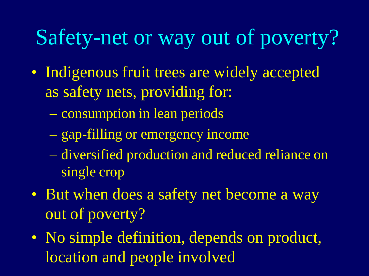#### Safety-net or way out of poverty?

- Indigenous fruit trees are widely accepted as safety nets, providing for:
	- consumption in lean periods
	- gap-filling or emergency income
	- diversified production and reduced reliance on single crop
- But when does a safety net become a way out of poverty?
- No simple definition, depends on product, location and people involved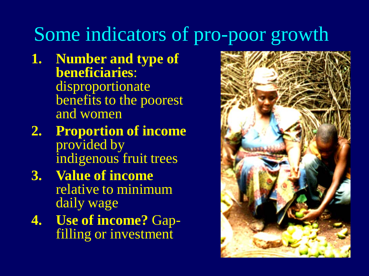#### Some indicators of pro-poor growth

- **1. Number and type of beneficiaries**: disproportionate benefits to the poorest and women
- **2. Proportion of income** provided by indigenous fruit trees
- **3. Value of income** relative to minimum daily wage
- **4. Use of income?** Gap- filling or investment

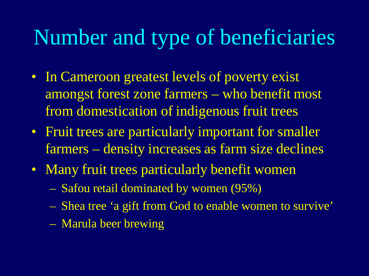#### Number and type of beneficiaries

- In Cameroon greatest levels of poverty exist amongst forest zone farmers – who benefit most from domestication of indigenous fruit trees
- Fruit trees are particularly important for smaller farmers – density increases as farm size declines
- Many fruit trees particularly benefit women
	- Safou retail dominated by women (95%)
	- Shea tree 'a gift from God to enable women to survive'
	- Marula beer brewing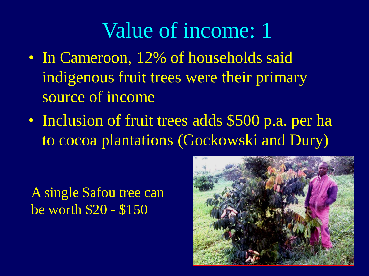#### Value of income: 1

- In Cameroon, 12% of households said indigenous fruit trees were their primary source of income
- Inclusion of fruit trees adds \$500 p.a. per ha to cocoa plantations (Gockowski and Dury)

A single Safou tree can be worth \$20 - \$150

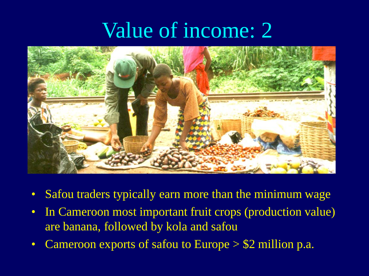#### Value of income: 2



- Safou traders typically earn more than the minimum wage
- In Cameroon most important fruit crops (production value) are banana, followed by kola and safou
- Cameroon exports of safou to Europe > \$2 million p.a.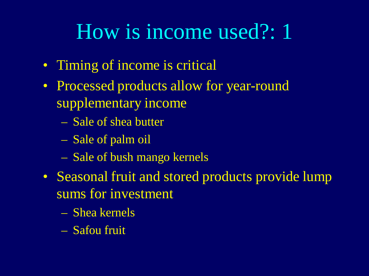#### How is income used?: 1

- Timing of income is critical
- Processed products allow for year-round supplementary income
	- Sale of shea butter
	- Sale of palm oil
	- Sale of bush mango kernels
- Seasonal fruit and stored products provide lump sums for investment
	- Shea kernels
	- Safou fruit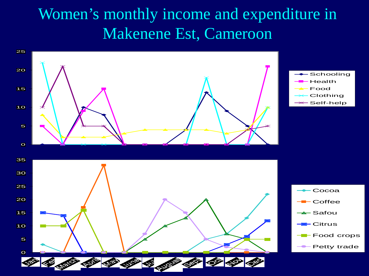#### Women's monthly income and expenditure in Makenene Est, Cameroon

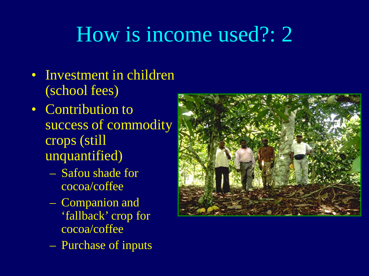### How is income used?: 2

- Investment in children (school fees)
- Contribution to success of commodity crops (still unquantified)
	- Safou shade for cocoa/coffee
	- Companion and 'fallback' crop for cocoa/coffee
	- Purchase of inputs

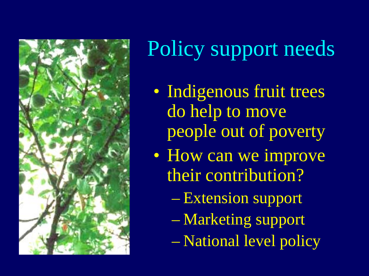

# Policy support needs

- Indigenous fruit trees do help to move people out of poverty
- How can we improve their contribution?
	- Extension support
	- Marketing support
	- National level policy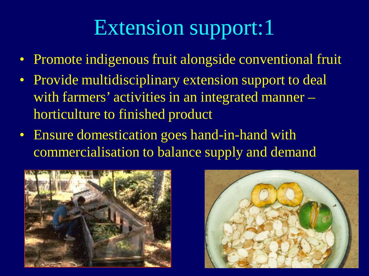## Extension support:1

- Promote indigenous fruit alongside conventional fruit
- Provide multidisciplinary extension support to deal with farmers' activities in an integrated manner – horticulture to finished product
- Ensure domestication goes hand-in-hand with commercialisation to balance supply and demand



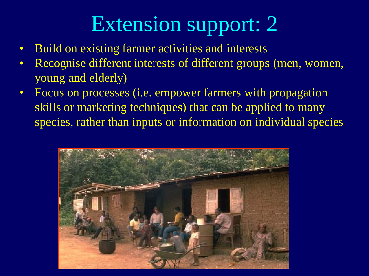### Extension support: 2

- Build on existing farmer activities and interests
- Recognise different interests of different groups (men, women, young and elderly)
- Focus on processes (i.e. empower farmers with propagation skills or marketing techniques) that can be applied to many species, rather than inputs or information on individual species

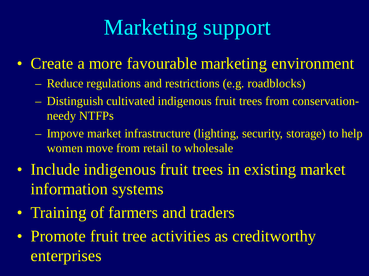## Marketing support

- Create a more favourable marketing environment
	- Reduce regulations and restrictions (e.g. roadblocks)
	- Distinguish cultivated indigenous fruit trees from conservationneedy NTFPs
	- Impove market infrastructure (lighting, security, storage) to help women move from retail to wholesale
- Include indigenous fruit trees in existing market information systems
- Training of farmers and traders
- Promote fruit tree activities as creditworthy enterprises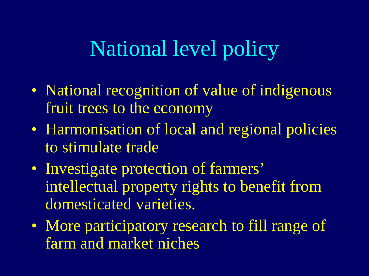#### National level policy

- National recognition of value of indigenous fruit trees to the economy
- Harmonisation of local and regional policies to stimulate trade
- Investigate protection of farmers' intellectual property rights to benefit from domesticated varieties.
- More participatory research to fill range of farm and market niches